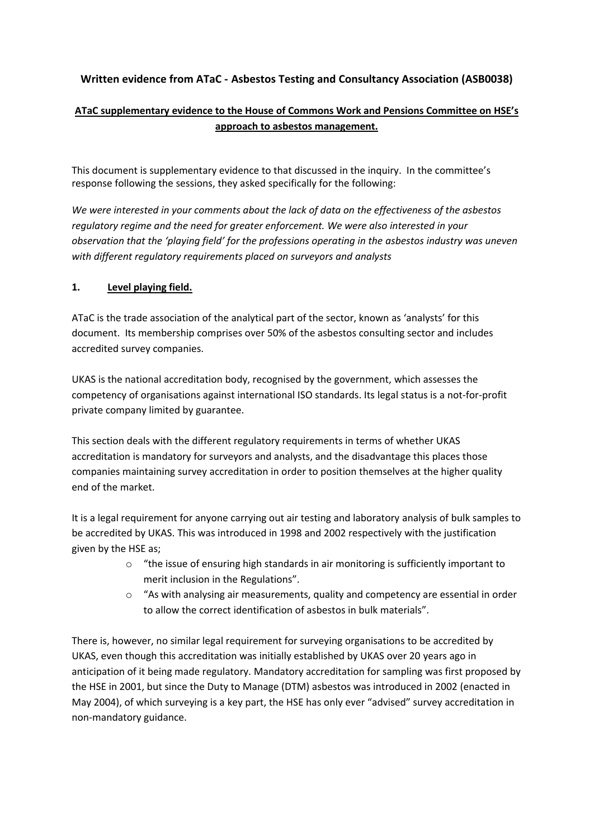# **Written evidence from ATaC - Asbestos Testing and Consultancy Association (ASB0038)**

# **ATaC supplementary evidence to the House of Commons Work and Pensions Committee on HSE's approach to asbestos management.**

This document is supplementary evidence to that discussed in the inquiry. In the committee's response following the sessions, they asked specifically for the following:

*We were interested in your comments about the lack of data on the effectiveness of the asbestos regulatory regime and the need for greater enforcement. We were also interested in your observation that the 'playing field' for the professions operating in the asbestos industry was uneven with different regulatory requirements placed on surveyors and analysts*

### **1. Level playing field.**

ATaC is the trade association of the analytical part of the sector, known as 'analysts' for this document. Its membership comprises over 50% of the asbestos consulting sector and includes accredited survey companies.

UKAS is the national accreditation body, recognised by the government, which assesses the competency of organisations against international ISO standards. Its legal status is a not-for-profit private company limited by guarantee.

This section deals with the different regulatory requirements in terms of whether UKAS accreditation is mandatory for surveyors and analysts, and the disadvantage this places those companies maintaining survey accreditation in order to position themselves at the higher quality end of the market.

It is a legal requirement for anyone carrying out air testing and laboratory analysis of bulk samples to be accredited by UKAS. This was introduced in 1998 and 2002 respectively with the justification given by the HSE as;

- $\circ$  "the issue of ensuring high standards in air monitoring is sufficiently important to merit inclusion in the Regulations".
- $\circ$  "As with analysing air measurements, quality and competency are essential in order to allow the correct identification of asbestos in bulk materials".

There is, however, no similar legal requirement for surveying organisations to be accredited by UKAS, even though this accreditation was initially established by UKAS over 20 years ago in anticipation of it being made regulatory. Mandatory accreditation for sampling was first proposed by the HSE in 2001, but since the Duty to Manage (DTM) asbestos was introduced in 2002 (enacted in May 2004), of which surveying is a key part, the HSE has only ever "advised" survey accreditation in non-mandatory guidance.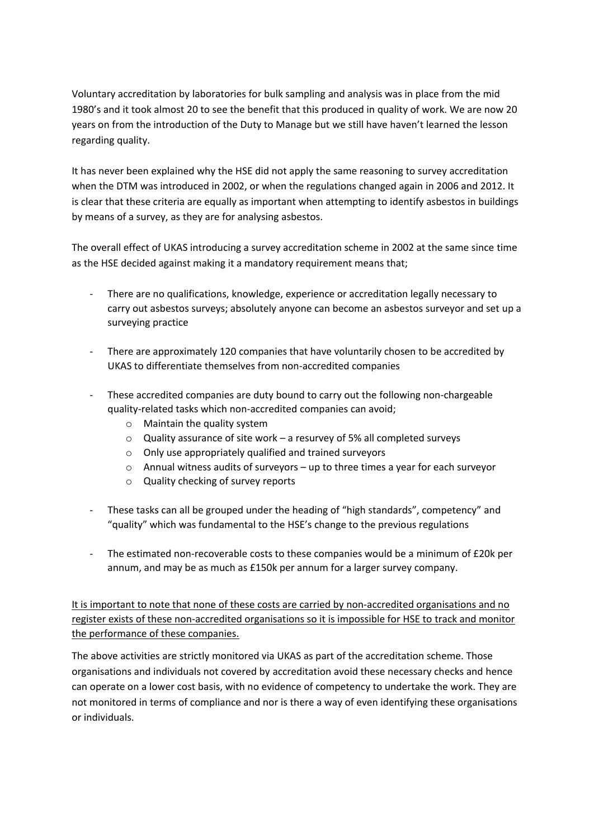Voluntary accreditation by laboratories for bulk sampling and analysis was in place from the mid 1980's and it took almost 20 to see the benefit that this produced in quality of work. We are now 20 years on from the introduction of the Duty to Manage but we still have haven't learned the lesson regarding quality.

It has never been explained why the HSE did not apply the same reasoning to survey accreditation when the DTM was introduced in 2002, or when the regulations changed again in 2006 and 2012. It is clear that these criteria are equally as important when attempting to identify asbestos in buildings by means of a survey, as they are for analysing asbestos.

The overall effect of UKAS introducing a survey accreditation scheme in 2002 at the same since time as the HSE decided against making it a mandatory requirement means that;

- There are no qualifications, knowledge, experience or accreditation legally necessary to carry out asbestos surveys; absolutely anyone can become an asbestos surveyor and set up a surveying practice
- There are approximately 120 companies that have voluntarily chosen to be accredited by UKAS to differentiate themselves from non-accredited companies
- These accredited companies are duty bound to carry out the following non-chargeable quality-related tasks which non-accredited companies can avoid;
	- o Maintain the quality system
	- $\circ$  Quality assurance of site work a resurvey of 5% all completed surveys
	- o Only use appropriately qualified and trained surveyors
	- o Annual witness audits of surveyors up to three times a year for each surveyor
	- o Quality checking of survey reports
- These tasks can all be grouped under the heading of "high standards", competency" and "quality" which was fundamental to the HSE's change to the previous regulations
- The estimated non-recoverable costs to these companies would be a minimum of £20k per annum, and may be as much as £150k per annum for a larger survey company.

It is important to note that none of these costs are carried by non-accredited organisations and no register exists of these non-accredited organisations so it is impossible for HSE to track and monitor the performance of these companies.

The above activities are strictly monitored via UKAS as part of the accreditation scheme. Those organisations and individuals not covered by accreditation avoid these necessary checks and hence can operate on a lower cost basis, with no evidence of competency to undertake the work. They are not monitored in terms of compliance and nor is there a way of even identifying these organisations or individuals.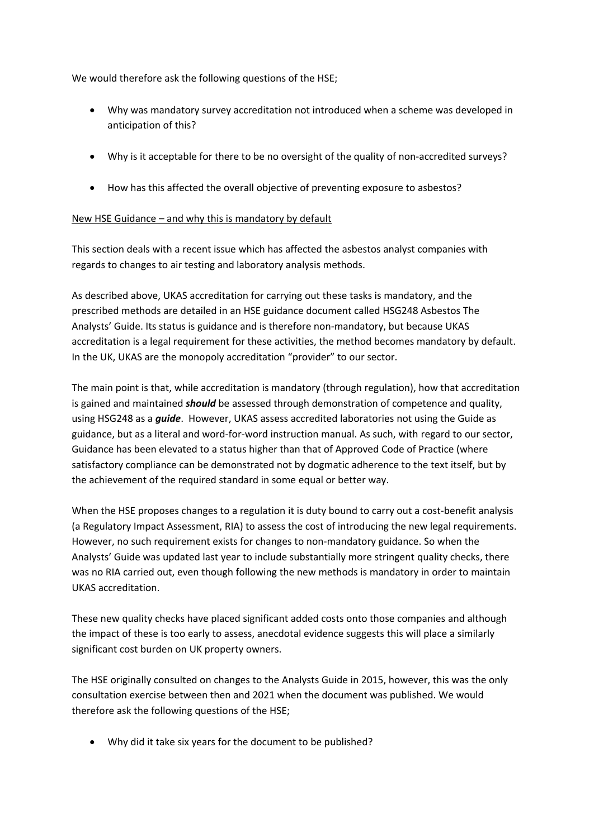We would therefore ask the following questions of the HSE;

- Why was mandatory survey accreditation not introduced when a scheme was developed in anticipation of this?
- Why is it acceptable for there to be no oversight of the quality of non-accredited surveys?
- How has this affected the overall objective of preventing exposure to asbestos?

#### New HSE Guidance – and why this is mandatory by default

This section deals with a recent issue which has affected the asbestos analyst companies with regards to changes to air testing and laboratory analysis methods.

As described above, UKAS accreditation for carrying out these tasks is mandatory, and the prescribed methods are detailed in an HSE guidance document called HSG248 Asbestos The Analysts' Guide. Its status is guidance and is therefore non-mandatory, but because UKAS accreditation is a legal requirement for these activities, the method becomes mandatory by default. In the UK, UKAS are the monopoly accreditation "provider" to our sector.

The main point is that, while accreditation is mandatory (through regulation), how that accreditation is gained and maintained *should* be assessed through demonstration of competence and quality, using HSG248 as a *guide*. However, UKAS assess accredited laboratories not using the Guide as guidance, but as a literal and word-for-word instruction manual. As such, with regard to our sector, Guidance has been elevated to a status higher than that of Approved Code of Practice (where satisfactory compliance can be demonstrated not by dogmatic adherence to the text itself, but by the achievement of the required standard in some equal or better way.

When the HSE proposes changes to a regulation it is duty bound to carry out a cost-benefit analysis (a Regulatory Impact Assessment, RIA) to assess the cost of introducing the new legal requirements. However, no such requirement exists for changes to non-mandatory guidance. So when the Analysts' Guide was updated last year to include substantially more stringent quality checks, there was no RIA carried out, even though following the new methods is mandatory in order to maintain UKAS accreditation.

These new quality checks have placed significant added costs onto those companies and although the impact of these is too early to assess, anecdotal evidence suggests this will place a similarly significant cost burden on UK property owners.

The HSE originally consulted on changes to the Analysts Guide in 2015, however, this was the only consultation exercise between then and 2021 when the document was published. We would therefore ask the following questions of the HSE;

Why did it take six years for the document to be published?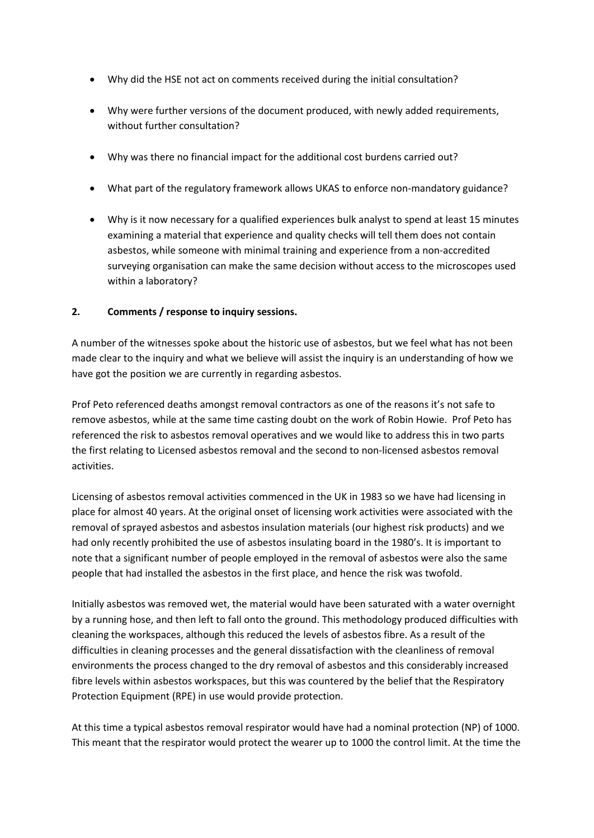- Why did the HSE not act on comments received during the initial consultation?
- Why were further versions of the document produced, with newly added requirements, without further consultation?
- Why was there no financial impact for the additional cost burdens carried out?
- What part of the regulatory framework allows UKAS to enforce non-mandatory guidance?
- Why is it now necessary for a qualified experiences bulk analyst to spend at least 15 minutes examining a material that experience and quality checks will tell them does not contain asbestos, while someone with minimal training and experience from a non-accredited surveying organisation can make the same decision without access to the microscopes used within a laboratory?

### **2. Comments / response to inquiry sessions.**

A number of the witnesses spoke about the historic use of asbestos, but we feel what has not been made clear to the inquiry and what we believe will assist the inquiry is an understanding of how we have got the position we are currently in regarding asbestos.

Prof Peto referenced deaths amongst removal contractors as one of the reasons it's not safe to remove asbestos, while at the same time casting doubt on the work of Robin Howie. Prof Peto has referenced the risk to asbestos removal operatives and we would like to address this in two parts the first relating to Licensed asbestos removal and the second to non-licensed asbestos removal activities.

Licensing of asbestos removal activities commenced in the UK in 1983 so we have had licensing in place for almost 40 years. At the original onset of licensing work activities were associated with the removal of sprayed asbestos and asbestos insulation materials (our highest risk products) and we had only recently prohibited the use of asbestos insulating board in the 1980's. It is important to note that a significant number of people employed in the removal of asbestos were also the same people that had installed the asbestos in the first place, and hence the risk was twofold.

Initially asbestos was removed wet, the material would have been saturated with a water overnight by a running hose, and then left to fall onto the ground. This methodology produced difficulties with cleaning the workspaces, although this reduced the levels of asbestos fibre. As a result of the difficulties in cleaning processes and the general dissatisfaction with the cleanliness of removal environments the process changed to the dry removal of asbestos and this considerably increased fibre levels within asbestos workspaces, but this was countered by the belief that the Respiratory Protection Equipment (RPE) in use would provide protection.

At this time a typical asbestos removal respirator would have had a nominal protection (NP) of 1000. This meant that the respirator would protect the wearer up to 1000 the control limit. At the time the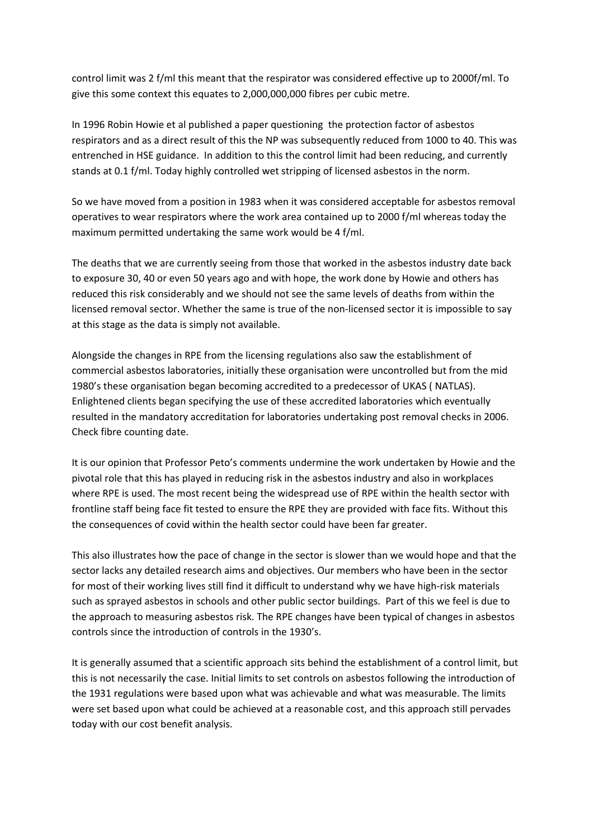control limit was 2 f/ml this meant that the respirator was considered effective up to 2000f/ml. To give this some context this equates to 2,000,000,000 fibres per cubic metre.

In 1996 Robin Howie et al published a paper questioning the protection factor of asbestos respirators and as a direct result of this the NP was subsequently reduced from 1000 to 40. This was entrenched in HSE guidance. In addition to this the control limit had been reducing, and currently stands at 0.1 f/ml. Today highly controlled wet stripping of licensed asbestos in the norm.

So we have moved from a position in 1983 when it was considered acceptable for asbestos removal operatives to wear respirators where the work area contained up to 2000 f/ml whereas today the maximum permitted undertaking the same work would be 4 f/ml.

The deaths that we are currently seeing from those that worked in the asbestos industry date back to exposure 30, 40 or even 50 years ago and with hope, the work done by Howie and others has reduced this risk considerably and we should not see the same levels of deaths from within the licensed removal sector. Whether the same is true of the non-licensed sector it is impossible to say at this stage as the data is simply not available.

Alongside the changes in RPE from the licensing regulations also saw the establishment of commercial asbestos laboratories, initially these organisation were uncontrolled but from the mid 1980's these organisation began becoming accredited to a predecessor of UKAS ( NATLAS). Enlightened clients began specifying the use of these accredited laboratories which eventually resulted in the mandatory accreditation for laboratories undertaking post removal checks in 2006. Check fibre counting date.

It is our opinion that Professor Peto's comments undermine the work undertaken by Howie and the pivotal role that this has played in reducing risk in the asbestos industry and also in workplaces where RPE is used. The most recent being the widespread use of RPE within the health sector with frontline staff being face fit tested to ensure the RPE they are provided with face fits. Without this the consequences of covid within the health sector could have been far greater.

This also illustrates how the pace of change in the sector is slower than we would hope and that the sector lacks any detailed research aims and objectives. Our members who have been in the sector for most of their working lives still find it difficult to understand why we have high-risk materials such as sprayed asbestos in schools and other public sector buildings. Part of this we feel is due to the approach to measuring asbestos risk. The RPE changes have been typical of changes in asbestos controls since the introduction of controls in the 1930's.

It is generally assumed that a scientific approach sits behind the establishment of a control limit, but this is not necessarily the case. Initial limits to set controls on asbestos following the introduction of the 1931 regulations were based upon what was achievable and what was measurable. The limits were set based upon what could be achieved at a reasonable cost, and this approach still pervades today with our cost benefit analysis.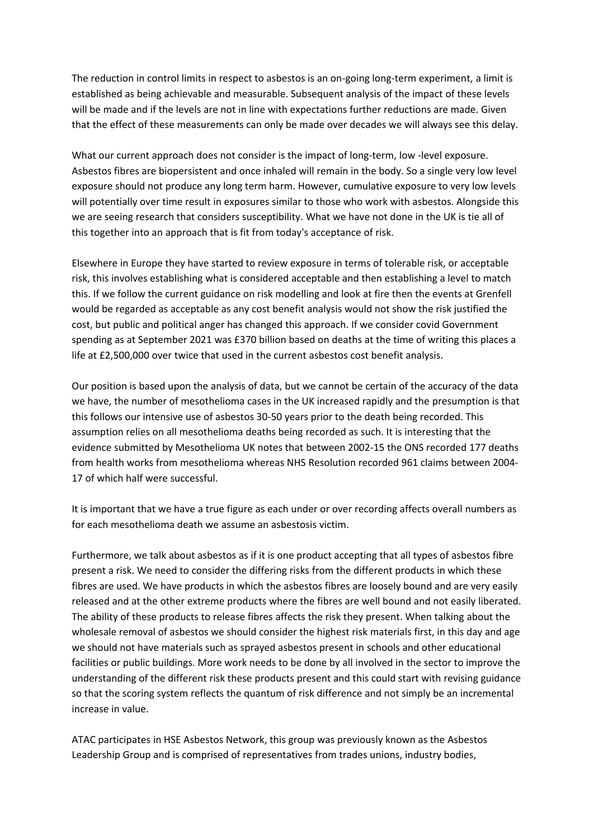The reduction in control limits in respect to asbestos is an on-going long-term experiment, a limit is established as being achievable and measurable. Subsequent analysis of the impact of these levels will be made and if the levels are not in line with expectations further reductions are made. Given that the effect of these measurements can only be made over decades we will always see this delay.

What our current approach does not consider is the impact of long-term, low -level exposure. Asbestos fibres are biopersistent and once inhaled will remain in the body. So a single very low level exposure should not produce any long term harm. However, cumulative exposure to very low levels will potentially over time result in exposures similar to those who work with asbestos. Alongside this we are seeing research that considers susceptibility. What we have not done in the UK is tie all of this together into an approach that is fit from today's acceptance of risk.

Elsewhere in Europe they have started to review exposure in terms of tolerable risk, or acceptable risk, this involves establishing what is considered acceptable and then establishing a level to match this. If we follow the current guidance on risk modelling and look at fire then the events at Grenfell would be regarded as acceptable as any cost benefit analysis would not show the risk justified the cost, but public and political anger has changed this approach. If we consider covid Government spending as at September 2021 was £370 billion based on deaths at the time of writing this places a life at £2,500,000 over twice that used in the current asbestos cost benefit analysis.

Our position is based upon the analysis of data, but we cannot be certain of the accuracy of the data we have, the number of mesothelioma cases in the UK increased rapidly and the presumption is that this follows our intensive use of asbestos 30-50 years prior to the death being recorded. This assumption relies on all mesothelioma deaths being recorded as such. It is interesting that the evidence submitted by Mesothelioma UK notes that between 2002-15 the ONS recorded 177 deaths from health works from mesothelioma whereas NHS Resolution recorded 961 claims between 2004- 17 of which half were successful.

It is important that we have a true figure as each under or over recording affects overall numbers as for each mesothelioma death we assume an asbestosis victim.

Furthermore, we talk about asbestos as if it is one product accepting that all types of asbestos fibre present a risk. We need to consider the differing risks from the different products in which these fibres are used. We have products in which the asbestos fibres are loosely bound and are very easily released and at the other extreme products where the fibres are well bound and not easily liberated. The ability of these products to release fibres affects the risk they present. When talking about the wholesale removal of asbestos we should consider the highest risk materials first, in this day and age we should not have materials such as sprayed asbestos present in schools and other educational facilities or public buildings. More work needs to be done by all involved in the sector to improve the understanding of the different risk these products present and this could start with revising guidance so that the scoring system reflects the quantum of risk difference and not simply be an incremental increase in value.

ATAC participates in HSE Asbestos Network, this group was previously known as the Asbestos Leadership Group and is comprised of representatives from trades unions, industry bodies,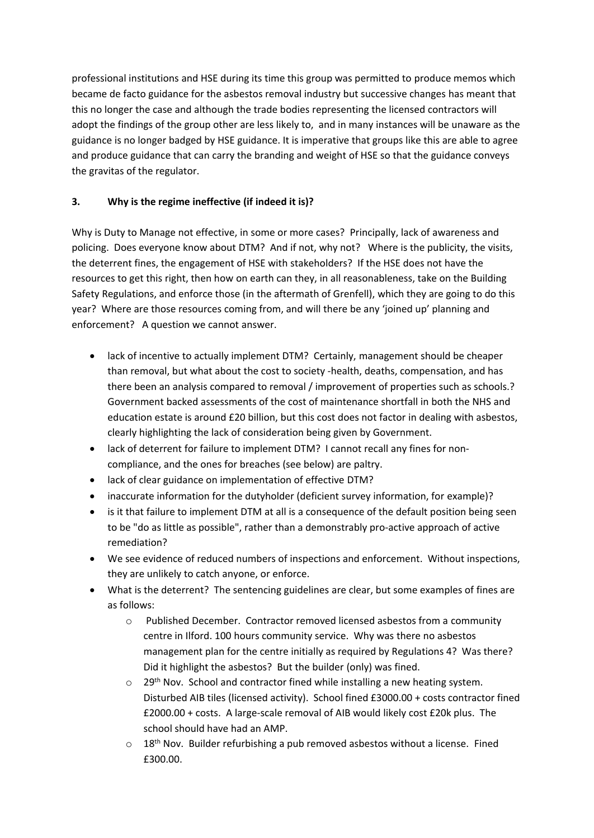professional institutions and HSE during its time this group was permitted to produce memos which became de facto guidance for the asbestos removal industry but successive changes has meant that this no longer the case and although the trade bodies representing the licensed contractors will adopt the findings of the group other are less likely to, and in many instances will be unaware as the guidance is no longer badged by HSE guidance. It is imperative that groups like this are able to agree and produce guidance that can carry the branding and weight of HSE so that the guidance conveys the gravitas of the regulator.

## **3. Why is the regime ineffective (if indeed it is)?**

Why is Duty to Manage not effective, in some or more cases? Principally, lack of awareness and policing. Does everyone know about DTM? And if not, why not? Where is the publicity, the visits, the deterrent fines, the engagement of HSE with stakeholders? If the HSE does not have the resources to get this right, then how on earth can they, in all reasonableness, take on the Building Safety Regulations, and enforce those (in the aftermath of Grenfell), which they are going to do this year? Where are those resources coming from, and will there be any 'joined up' planning and enforcement? A question we cannot answer.

- lack of incentive to actually implement DTM? Certainly, management should be cheaper than removal, but what about the cost to society -health, deaths, compensation, and has there been an analysis compared to removal / improvement of properties such as schools.? Government backed assessments of the cost of maintenance shortfall in both the NHS and education estate is around £20 billion, but this cost does not factor in dealing with asbestos, clearly highlighting the lack of consideration being given by Government.
- lack of deterrent for failure to implement DTM? I cannot recall any fines for noncompliance, and the ones for breaches (see below) are paltry.
- lack of clear guidance on implementation of effective DTM?
- inaccurate information for the dutyholder (deficient survey information, for example)?
- is it that failure to implement DTM at all is a consequence of the default position being seen to be "do as little as possible", rather than a demonstrably pro-active approach of active remediation?
- We see evidence of reduced numbers of inspections and enforcement. Without inspections, they are unlikely to catch anyone, or enforce.
- What is the deterrent? The sentencing guidelines are clear, but some examples of fines are as follows:
	- o Published December. Contractor removed licensed asbestos from a community centre in Ilford. 100 hours community service. Why was there no asbestos management plan for the centre initially as required by Regulations 4? Was there? Did it highlight the asbestos? But the builder (only) was fined.
	- $\circ$  29<sup>th</sup> Nov. School and contractor fined while installing a new heating system. Disturbed AIB tiles (licensed activity). School fined £3000.00 + costs contractor fined £2000.00 + costs. A large-scale removal of AIB would likely cost £20k plus. The school should have had an AMP.
	- $\circ$  18<sup>th</sup> Nov. Builder refurbishing a pub removed asbestos without a license. Fined £300.00.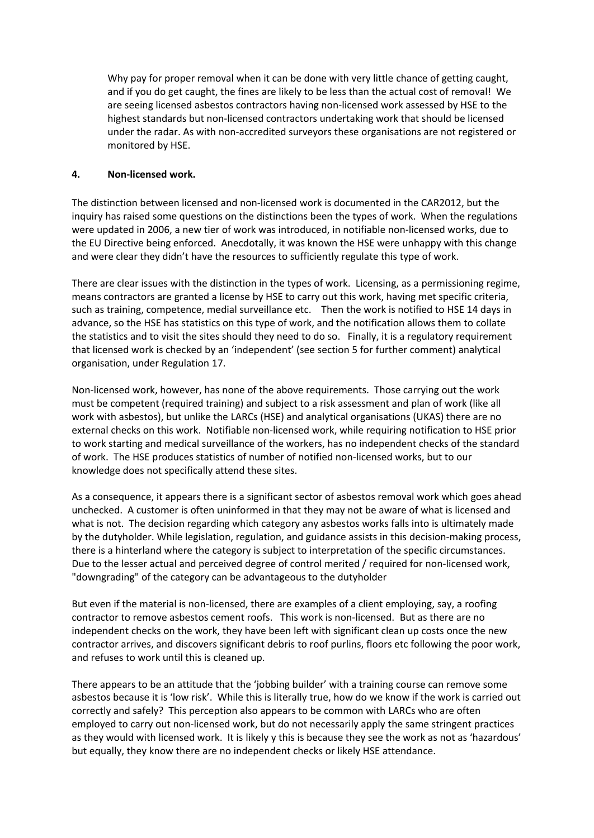Why pay for proper removal when it can be done with very little chance of getting caught, and if you do get caught, the fines are likely to be less than the actual cost of removal! We are seeing licensed asbestos contractors having non-licensed work assessed by HSE to the highest standards but non-licensed contractors undertaking work that should be licensed under the radar. As with non-accredited surveyors these organisations are not registered or monitored by HSE.

#### **4. Non-licensed work.**

The distinction between licensed and non-licensed work is documented in the CAR2012, but the inquiry has raised some questions on the distinctions been the types of work. When the regulations were updated in 2006, a new tier of work was introduced, in notifiable non-licensed works, due to the EU Directive being enforced. Anecdotally, it was known the HSE were unhappy with this change and were clear they didn't have the resources to sufficiently regulate this type of work.

There are clear issues with the distinction in the types of work. Licensing, as a permissioning regime, means contractors are granted a license by HSE to carry out this work, having met specific criteria, such as training, competence, medial surveillance etc. Then the work is notified to HSE 14 days in advance, so the HSE has statistics on this type of work, and the notification allows them to collate the statistics and to visit the sites should they need to do so. Finally, it is a regulatory requirement that licensed work is checked by an 'independent' (see section 5 for further comment) analytical organisation, under Regulation 17.

Non-licensed work, however, has none of the above requirements. Those carrying out the work must be competent (required training) and subject to a risk assessment and plan of work (like all work with asbestos), but unlike the LARCs (HSE) and analytical organisations (UKAS) there are no external checks on this work. Notifiable non-licensed work, while requiring notification to HSE prior to work starting and medical surveillance of the workers, has no independent checks of the standard of work. The HSE produces statistics of number of notified non-licensed works, but to our knowledge does not specifically attend these sites.

As a consequence, it appears there is a significant sector of asbestos removal work which goes ahead unchecked. A customer is often uninformed in that they may not be aware of what is licensed and what is not. The decision regarding which category any asbestos works falls into is ultimately made by the dutyholder. While legislation, regulation, and guidance assists in this decision-making process, there is a hinterland where the category is subject to interpretation of the specific circumstances. Due to the lesser actual and perceived degree of control merited / required for non-licensed work, "downgrading" of the category can be advantageous to the dutyholder

But even if the material is non-licensed, there are examples of a client employing, say, a roofing contractor to remove asbestos cement roofs. This work is non-licensed. But as there are no independent checks on the work, they have been left with significant clean up costs once the new contractor arrives, and discovers significant debris to roof purlins, floors etc following the poor work, and refuses to work until this is cleaned up.

There appears to be an attitude that the 'jobbing builder' with a training course can remove some asbestos because it is 'low risk'. While this is literally true, how do we know if the work is carried out correctly and safely? This perception also appears to be common with LARCs who are often employed to carry out non-licensed work, but do not necessarily apply the same stringent practices as they would with licensed work. It is likely y this is because they see the work as not as 'hazardous' but equally, they know there are no independent checks or likely HSE attendance.